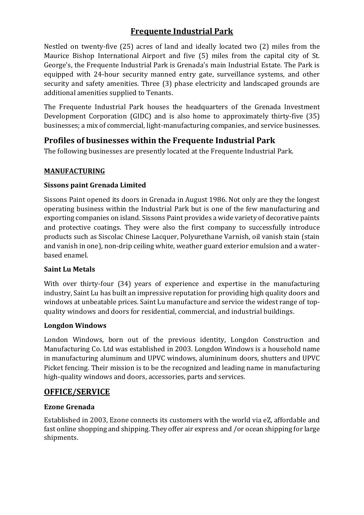# **Frequente Industrial Park**

Nestled on twenty-five (25) acres of land and ideally located two (2) miles from the Maurice Bishop International Airport and five (5) miles from the capital city of St. George's, the Frequente Industrial Park is Grenada's main Industrial Estate. The Park is equipped with 24-hour security manned entry gate, surveillance systems, and other security and safety amenities. Three (3) phase electricity and landscaped grounds are additional amenities supplied to Tenants.

The Frequente Industrial Park houses the headquarters of the Grenada Investment Development Corporation (GIDC) and is also home to approximately thirty-five (35) businesses; a mix of commercial, light-manufacturing companies, and service businesses.

# **Profiles of businesses within the Frequente Industrial Park**

The following businesses are presently located at the Frequente Industrial Park.

## **MANUFACTURING**

## **Sissons paint Grenada Limited**

Sissons Paint opened its doors in Grenada in August 1986. Not only are they the longest operating business within the Industrial Park but is one of the few manufacturing and exporting companies on island. Sissons Paint provides a wide variety of decorative paints and protective coatings. They were also the first company to successfully introduce products such as Siscolac Chinese Lacquer, Polyurethane Varnish, oil vanish stain (stain and vanish in one), non-drip ceiling white, weather guard exterior emulsion and a waterbased enamel.

### **Saint Lu Metals**

With over thirty-four (34) years of experience and expertise in the manufacturing industry, Saint Lu has built an impressive reputation for providing high quality doors and windows at unbeatable prices. Saint Lu manufacture and service the widest range of topquality windows and doors for residential, commercial, and industrial buildings.

### **Longdon Windows**

London Windows, born out of the previous identity, Longdon Construction and Manufacturing Co. Ltd was established in 2003. Longdon Windows is a household name in manufacturing aluminum and UPVC windows, alumininum doors, shutters and UPVC Picket fencing. Their mission is to be the recognized and leading name in manufacturing high-quality windows and doors, accessories, parts and services.

# **OFFICE/SERVICE**

## **Ezone Grenada**

Established in 2003, Ezone connects its customers with the world via eZ, affordable and fast online shopping and shipping. They offer air express and /or ocean shipping for large shipments.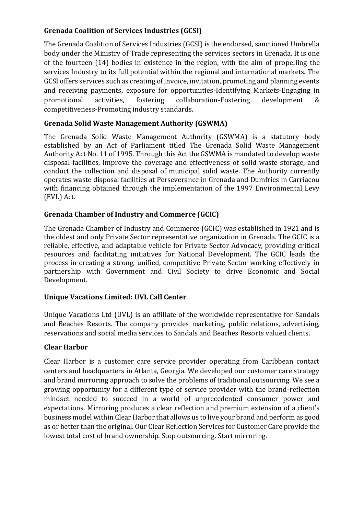### **Grenada Coalition of Services Industries (GCSI)**

The Grenada Coalition of Services Industries (GCSI) is the endorsed, sanctioned Umbrella body under the Ministry of Trade representing the services sectors in Grenada. It is one of the fourteen (14) bodies in existence in the region, with the aim of propelling the services Industry to its full potential within the regional and international markets. The GCSI offers services such as creating of invoice, invitation, promoting and planning events and receiving payments, exposure for opportunities-Identifying Markets-Engaging in promotional activities, fostering collaboration-Fostering development & competitiveness-Promoting industry standards.

### **Grenada Solid Waste Management Authority (GSWMA)**

The Grenada Solid Waste Management Authority (GSWMA) is a statutory body established by an Act of Parliament titled The Grenada Solid Waste Management Authority Act No. 11 of 1995. Through this Act the GSWMA is mandated to develop waste disposal facilities, improve the coverage and effectiveness of solid waste storage, and conduct the collection and disposal of municipal solid waste. The Authority currently operates waste disposal facilities at Perseverance in Grenada and Dumfries in Carriacou with financing obtained through the implementation of the 1997 Environmental Levy (EVL) Act.

## **Grenada Chamber of Industry and Commerce (GCIC)**

The Grenada Chamber of Industry and Commerce (GCIC) was established in 1921 and is the oldest and only Private Sector representative organization in Grenada. The GCIC is a reliable, effective, and adaptable vehicle for Private Sector Advocacy, providing critical resources and facilitating initiatives for National Development. The GCIC leads the process in creating a strong, unified, competitive Private Sector working effectively in partnership with Government and Civil Society to drive Economic and Social Development.

### **Unique Vacations Limited: UVL Call Center**

Unique Vacations Ltd (UVL) is an affiliate of the worldwide representative for Sandals and Beaches Resorts. The company provides marketing, public relations, advertising, reservations and social media services to Sandals and Beaches Resorts valued clients.

### **Clear Harbor**

Clear Harbor is a customer care service provider operating from Caribbean contact centers and headquarters in Atlanta, Georgia. We developed our customer care strategy and brand mirroring approach to solve the problems of traditional outsourcing. We see a growing opportunity for a different type of service provider with the brand-reflection mindset needed to succeed in a world of unprecedented consumer power and expectations. Mirroring produces a clear reflection and premium extension of a client's business model within Clear Harbor that allows us to live your brand and perform as good as or better than the original. Our Clear Reflection Services for Customer Care provide the lowest total cost of brand ownership. Stop outsourcing. Start mirroring.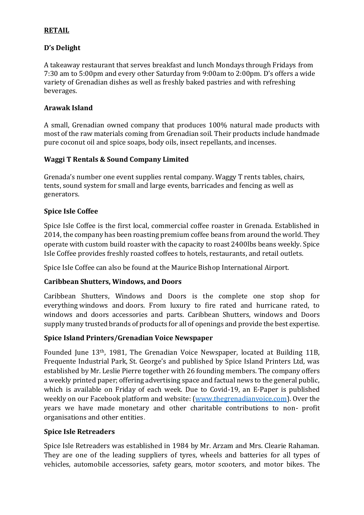#### **RETAIL**

### **D's Delight**

A takeaway restaurant that serves breakfast and lunch Mondays through Fridays from 7:30 am to 5:00pm and every other Saturday from 9:00am to 2:00pm. D's offers a wide variety of Grenadian dishes as well as freshly baked pastries and with refreshing beverages.

### **Arawak Island**

A small, Grenadian owned company that produces 100% natural made products with most of the raw materials coming from Grenadian soil. Their products include handmade pure coconut oil and spice soaps, body oils, insect repellants, and incenses.

### **Waggi T Rentals & Sound Company Limited**

Grenada's number one event supplies rental company. Waggy T rents tables, chairs, tents, sound system for small and large events, barricades and fencing as well as generators.

### **Spice Isle Coffee**

Spice Isle Coffee is the first local, commercial coffee roaster in Grenada. Established in 2014, the company has been roasting premium coffee beans from around the world. They operate with custom build roaster with the capacity to roast 2400lbs beans weekly. Spice Isle Coffee provides freshly roasted coffees to hotels, restaurants, and retail outlets.

Spice Isle Coffee can also be found at the Maurice Bishop International Airport.

#### **Caribbean Shutters, Windows, and Doors**

Caribbean Shutters, Windows and Doors is the complete one stop shop for everything windows and doors. From luxury to fire rated and hurricane rated, to windows and doors accessories and parts. Caribbean Shutters, windows and Doors supply many trusted brands of products for all of openings and provide the best expertise.

#### **Spice Island Printers/Grenadian Voice Newspaper**

Founded June 13th, 1981, The Grenadian Voice Newspaper, located at Building 11B, Frequente Industrial Park, St. George's and published by Spice Island Printers Ltd, was established by Mr. Leslie Pierre together with 26 founding members. The company offers a weekly printed paper; offering advertising space and factual news to the general public, which is available on Friday of each week. Due to Covid-19, an E-Paper is published weekly on our Facebook platform and website: [\(www.thegrenadianvoice.com\)](http://www.thegrenadianvoice.com/). Over the years we have made monetary and other charitable contributions to non- profit organisations and other entities.

#### **Spice Isle Retreaders**

Spice Isle Retreaders was established in 1984 by Mr. Arzam and Mrs. Clearie Rahaman. They are one of the leading suppliers of tyres, wheels and batteries for all types of vehicles, automobile accessories, safety gears, motor scooters, and motor bikes. The